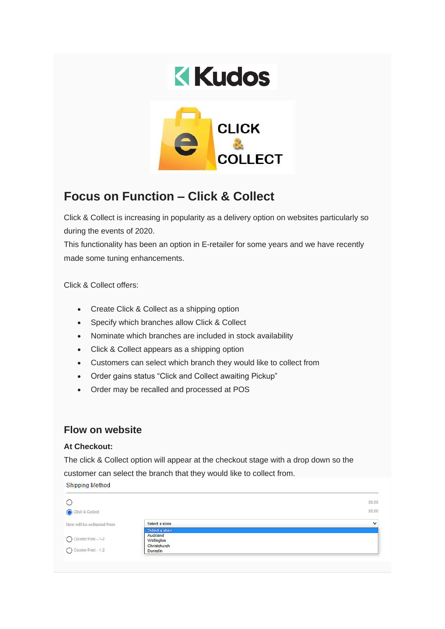

# **Focus on Function – Click & Collect**

Click & Collect is increasing in popularity as a delivery option on websites particularly so during the events of 2020.

This functionality has been an option in E-retailer for some years and we have recently made some tuning enhancements.

Click & Collect offers:

- Create Click & Collect as a shipping option
- Specify which branches allow Click & Collect
- Nominate which branches are included in stock availability
- Click & Collect appears as a shipping option
- Customers can select which branch they would like to collect from
- Order gains status "Click and Collect awaiting Pickup"
- Order may be recalled and processed at POS

## **Flow on website**

#### **At Checkout:**

The click & Collect option will appear at the checkout stage with a drop down so the customer can select the branch that they would like to collect from.**Shipping Method** 

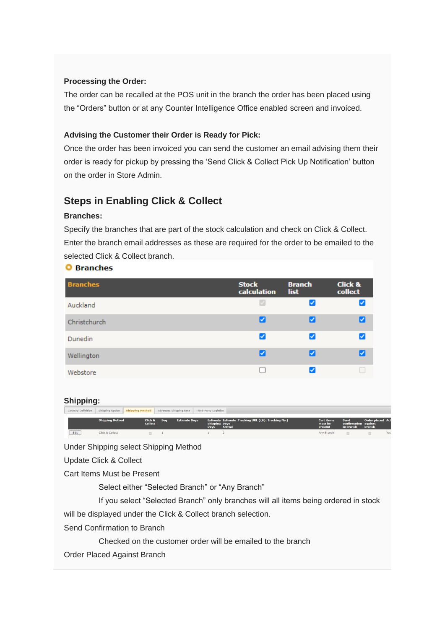#### **Processing the Order:**

The order can be recalled at the POS unit in the branch the order has been placed using the "Orders" button or at any Counter Intelligence Office enabled screen and invoiced.

#### **Advising the Customer their Order is Ready for Pick:**

Once the order has been invoiced you can send the customer an email advising them their order is ready for pickup by pressing the 'Send Click & Collect Pick Up Notification' button on the order in Store Admin.

# **Steps in Enabling Click & Collect**

#### **Branches:**

Specify the branches that are part of the stock calculation and check on Click & Collect. Enter the branch email addresses as these are required for the order to be emailed to the selected Click & Collect branch.

| aranches |
|----------|
|----------|

| <b>Branches</b> | <b>Stock</b><br>calculation | <b>Branch</b><br>list | <b>Click &amp;</b><br>collect |
|-----------------|-----------------------------|-----------------------|-------------------------------|
| Auckland        | v                           | ✓                     |                               |
| Christchurch    | ☑                           | V                     | ✓                             |
| <b>Dunedin</b>  | ⊽                           | ☑                     | ✓                             |
| Wellington      | ∨                           | ☑                     | ◡                             |
| Webstore        |                             | ✓                     |                               |

#### **Shipping:**

| <b>Country Definition</b> |                        | Shipping Option Shipping Method Advanced Shipping Rate |            |                      | Third-Party Logistics               |                                                                      |                                         |                                                  |                                          |     |
|---------------------------|------------------------|--------------------------------------------------------|------------|----------------------|-------------------------------------|----------------------------------------------------------------------|-----------------------------------------|--------------------------------------------------|------------------------------------------|-----|
|                           | <b>Shipping Method</b> | Click &<br><b>Collect</b>                              | <b>Seq</b> | <b>Estimate Davs</b> | <b>Shipping Days</b><br><b>Days</b> | Estimate Estimate Tracking URL ({0}: Tracking No.)<br><b>Arrival</b> | <b>Cart items</b><br>must be<br>present | <b>Send</b><br>confirmation against<br>to branch | <b>Order placed Act</b><br><b>branch</b> |     |
| Edit                      | Click & Collect        |                                                        |            |                      |                                     |                                                                      | Any Branch                              |                                                  |                                          | Yes |

Under Shipping select Shipping Method

Update Click & Collect

Cart Items Must be Present

Select either "Selected Branch" or "Any Branch"

If you select "Selected Branch" only branches will all items being ordered in stock

will be displayed under the Click & Collect branch selection.

Send Confirmation to Branch

Checked on the customer order will be emailed to the branch

Order Placed Against Branch